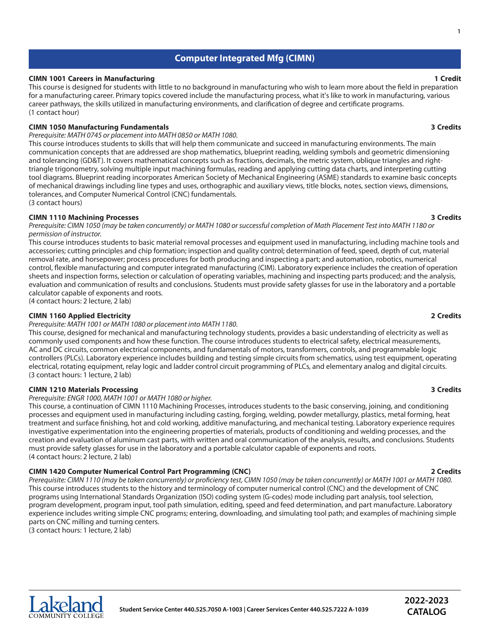# **Computer Integrated Mfg (CIMN)**

### **CIMN 1001 Careers in Manufacturing 1 Credit**

This course is designed for students with little to no background in manufacturing who wish to learn more about the field in preparation for a manufacturing career. Primary topics covered include the manufacturing process, what it's like to work in manufacturing, various career pathways, the skills utilized in manufacturing environments, and clarification of degree and certificate programs. (1 contact hour)

# **CIMN 1050 Manufacturing Fundamentals 3 Credits**

## *Prerequisite: MATH 0745 or placement into MATH 0850 or MATH 1080.*

This course introduces students to skills that will help them communicate and succeed in manufacturing environments. The main communication concepts that are addressed are shop mathematics, blueprint reading, welding symbols and geometric dimensioning and tolerancing (GD&T). It covers mathematical concepts such as fractions, decimals, the metric system, oblique triangles and righttriangle trigonometry, solving multiple input machining formulas, reading and applying cutting data charts, and interpreting cutting tool diagrams. Blueprint reading incorporates American Society of Mechanical Engineering (ASME) standards to examine basic concepts of mechanical drawings including line types and uses, orthographic and auxiliary views, title blocks, notes, section views, dimensions, tolerances, and Computer Numerical Control (CNC) fundamentals. (3 contact hours)

## **CIMN 1110 Machining Processes 3 Credits**

Prerequisite: CIMN 1050 (may be taken concurrently) or MATH 1080 or successful completion of Math Placement Test into MATH 1180 or *permission of instructor.*

This course introduces students to basic material removal processes and equipment used in manufacturing, including machine tools and accessories; cutting principles and chip formation; inspection and quality control; determination of feed, speed, depth of cut, material removal rate, and horsepower; process procedures for both producing and inspecting a part; and automation, robotics, numerical control, flexible manufacturing and computer integrated manufacturing (CIM). Laboratory experience includes the creation of operation sheets and inspection forms, selection or calculation of operating variables, machining and inspecting parts produced; and the analysis, evaluation and communication of results and conclusions. Students must provide safety glasses for use in the laboratory and a portable calculator capable of exponents and roots.

(4 contact hours: 2 lecture, 2 lab)

## **CIMN 1160 Applied Electricity 2 Credits**

### *Prerequisite: MATH 1001 or MATH 1080 or placement into MATH 1180.*

This course, designed for mechanical and manufacturing technology students, provides a basic understanding of electricity as well as commonly used components and how these function. The course introduces students to electrical safety, electrical measurements, AC and DC circuits, common electrical components, and fundamentals of motors, transformers, controls, and programmable logic controllers (PLCs). Laboratory experience includes building and testing simple circuits from schematics, using test equipment, operating electrical, rotating equipment, relay logic and ladder control circuit programming of PLCs, and elementary analog and digital circuits. (3 contact hours: 1 lecture, 2 lab)

## **CIMN 1210 Materials Processing 3 Credits**

*Prerequisite: ENGR 1000, MATH 1001 or MATH 1080 or higher.*

This course, a continuation of CIMN 1110 Machining Processes, introduces students to the basic conserving, joining, and conditioning processes and equipment used in manufacturing including casting, forging, welding, powder metallurgy, plastics, metal forming, heat treatment and surface finishing, hot and cold working, additive manufacturing, and mechanical testing. Laboratory experience requires investigative experimentation into the engineering properties of materials, products of conditioning and welding processes, and the creation and evaluation of aluminum cast parts, with written and oral communication of the analysis, results, and conclusions. Students must provide safety glasses for use in the laboratory and a portable calculator capable of exponents and roots. (4 contact hours: 2 lecture, 2 lab)

## **CIMN 1420 Computer Numerical Control Part Programming (CNC) 2 Credits**

Prerequisite: CIMN 1110 (may be taken concurrently) or proficiency test, CIMN 1050 (may be taken concurrently) or MATH 1001 or MATH 1080. This course introduces students to the history and terminology of computer numerical control (CNC) and the development of CNC programs using International Standards Organization (ISO) coding system (G-codes) mode including part analysis, tool selection, program development, program input, tool path simulation, editing, speed and feed determination, and part manufacture. Laboratory experience includes writing simple CNC programs; entering, downloading, and simulating tool path; and examples of machining simple parts on CNC milling and turning centers.

(3 contact hours: 1 lecture, 2 lab)



### **1**

# **2022-2023 CATALOG**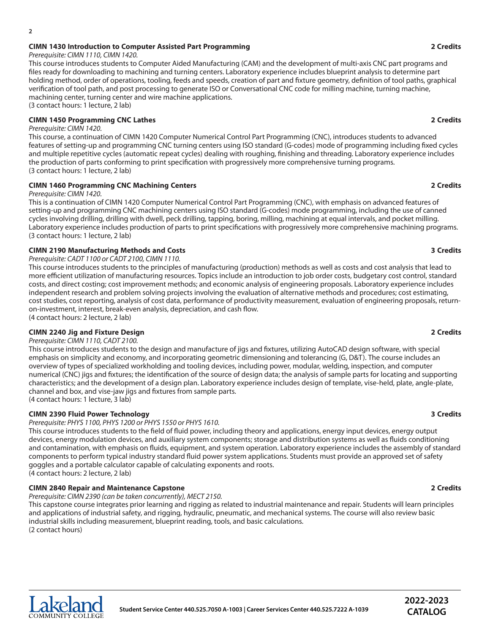### *Prerequisite: CIMN 1110, CIMN 1420.*

This course introduces students to Computer Aided Manufacturing (CAM) and the development of multi-axis CNC part programs and files ready for downloading to machining and turning centers. Laboratory experience includes blueprint analysis to determine part holding method, order of operations, tooling, feeds and speeds, creation of part and fixture geometry, definition of tool paths, graphical verification of tool path, and post processing to generate ISO or Conversational CNC code for milling machine, turning machine, machining center, turning center and wire machine applications. (3 contact hours: 1 lecture, 2 lab)

## **CIMN 1450 Programming CNC Lathes 2 Credits**

### *Prerequisite: CIMN 1420.*

**2**

This course, a continuation of CIMN 1420 Computer Numerical Control Part Programming (CNC), introduces students to advanced features of setting-up and programming CNC turning centers using ISO standard (G-codes) mode of programming including fixed cycles and multiple repetitive cycles (automatic repeat cycles) dealing with roughing, finishing and threading. Laboratory experience includes the production of parts conforming to print specification with progressively more comprehensive turning programs. (3 contact hours: 1 lecture, 2 lab)

### **CIMN 1460 Programming CNC Machining Centers 2 Credits**

### *Prerequisite: CIMN 1420.*

This is a continuation of CIMN 1420 Computer Numerical Control Part Programming (CNC), with emphasis on advanced features of setting-up and programming CNC machining centers using ISO standard (G-codes) mode programming, including the use of canned cycles involving drilling, drilling with dwell, peck drilling, tapping, boring, milling, machining at equal intervals, and pocket milling. Laboratory experience includes production of parts to print specifications with progressively more comprehensive machining programs. (3 contact hours: 1 lecture, 2 lab)

### **CIMN 2190 Manufacturing Methods and Costs 3 Credits**

*Prerequisite: CADT 1100 or CADT 2100, CIMN 1110.*

This course introduces students to the principles of manufacturing (production) methods as well as costs and cost analysis that lead to more efficient utilization of manufacturing resources. Topics include an introduction to job order costs, budgetary cost control, standard costs, and direct costing; cost improvement methods; and economic analysis of engineering proposals. Laboratory experience includes independent research and problem solving projects involving the evaluation of alternative methods and procedures; cost estimating, cost studies, cost reporting, analysis of cost data, performance of productivity measurement, evaluation of engineering proposals, returnon-investment, interest, break-even analysis, depreciation, and cash flow. (4 contact hours: 2 lecture, 2 lab)

### **CIMN 2240 Jig and Fixture Design 2 Credits**

*Prerequisite: CIMN 1110, CADT 2100.*

This course introduces students to the design and manufacture of jigs and fixtures, utilizing AutoCAD design software, with special emphasis on simplicity and economy, and incorporating geometric dimensioning and tolerancing (G, D&T). The course includes an overview of types of specialized workholding and tooling devices, including power, modular, welding, inspection, and computer numerical (CNC) jigs and fixtures; the identification of the source of design data; the analysis of sample parts for locating and supporting characteristics; and the development of a design plan. Laboratory experience includes design of template, vise-held, plate, angle-plate, channel and box, and vise-jaw jigs and fixtures from sample parts. (4 contact hours: 1 lecture, 3 lab)

### **CIMN 2390 Fluid Power Technology 3 Credits**

## *Prerequisite: PHYS 1100, PHYS 1200 or PHYS 1550 or PHYS 1610.*

This course introduces students to the field of fluid power, including theory and applications, energy input devices, energy output devices, energy modulation devices, and auxiliary system components; storage and distribution systems as well as fluids conditioning and contamination, with emphasis on fluids, equipment, and system operation. Laboratory experience includes the assembly of standard components to perform typical industry standard fluid power system applications. Students must provide an approved set of safety goggles and a portable calculator capable of calculating exponents and roots. (4 contact hours: 2 lecture, 2 lab)

## **CIMN 2840 Repair and Maintenance Capstone 2 Credits**

*Prerequisite: CIMN 2390 (can be taken concurrently), MECT 2150.*

This capstone course integrates prior learning and rigging as related to industrial maintenance and repair. Students will learn principles and applications of industrial safety, and rigging, hydraulic, pneumatic, and mechanical systems. The course will also review basic industrial skills including measurement, blueprint reading, tools, and basic calculations. (2 contact hours)